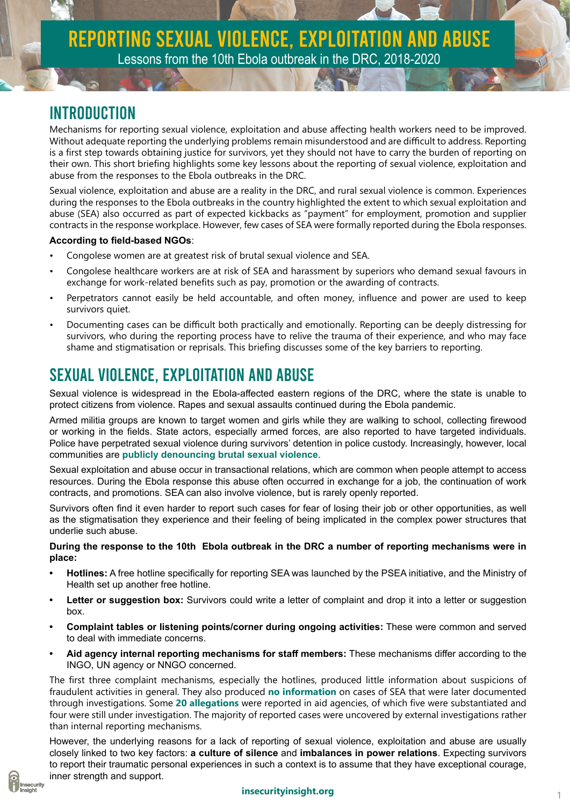#### Introduction

Mechanisms for reporting sexual violence, exploitation and abuse affecting health workers need to be improved. Without adequate reporting the underlying problems remain misunderstood and are difficult to address. Reporting is a first step towards obtaining justice for survivors, yet they should not have to carry the burden of reporting on their own. This short briefing highlights some key lessons about the reporting of sexual violence, exploitation and abuse from the responses to the Ebola outbreaks in the DRC.

Sexual violence, exploitation and abuse are a reality in the DRC, and rural sexual violence is common. Experiences during the responses to the Ebola outbreaks in the country highlighted the extent to which sexual exploitation and abuse (SEA) also occurred as part of expected kickbacks as "payment" for employment, promotion and supplier contracts in the response workplace. However, few cases of SEA were formally reported during the Ebola responses.

#### **According to field-based NGOs**:

- Congolese women are at greatest risk of brutal sexual violence and SEA.
- Congolese healthcare workers are at risk of SEA and harassment by superiors who demand sexual favours in exchange for work-related benefits such as pay, promotion or the awarding of contracts.
- Perpetrators cannot easily be held accountable, and often money, influence and power are used to keep survivors quiet.
- Documenting cases can be difficult both practically and emotionally. Reporting can be deeply distressing for survivors, who during the reporting process have to relive the trauma of their experience, and who may face shame and stigmatisation or reprisals. This briefing discusses some of the key barriers to reporting.

# Sexual violence, exploitation and abuse

Sexual violence is widespread in the Ebola-affected eastern regions of the DRC, where the state is unable to protect citizens from violence. Rapes and sexual assaults continued during the Ebola pandemic.

Armed militia groups are known to target women and girls while they are walking to school, collecting firewood or working in the fields. State actors, especially armed forces, are also reported to have targeted individuals. Police have perpetrated sexual violence during survivors' detention in police custody. Increasingly, however, local communities are **[publicly denouncing brutal sexual violence](https://bit.ly/330NpE3)**.

Sexual exploitation and abuse occur in transactional relations, which are common when people attempt to access resources. During the Ebola response this abuse often occurred in exchange for a job, the continuation of work contracts, and promotions. SEA can also involve violence, but is rarely openly reported.

Survivors often find it even harder to report such cases for fear of losing their job or other opportunities, as well as the stigmatisation they experience and their feeling of being implicated in the complex power structures that underlie such abuse.

**During the response to the 10th Ebola outbreak in the DRC a number of reporting mechanisms were in place:**

- **• Hotlines:** A free hotline specifically for reporting SEA was launched by the PSEA initiative, and the Ministry of Health set up another free hotline.
- **• Letter or suggestion box:** Survivors could write a letter of complaint and drop it into a letter or suggestion box.
- **• Complaint tables or listening points/corner during ongoing activities:** These were common and served to deal with immediate concerns.
- **• Aid agency internal reporting mechanisms for staff members:** These mechanisms differ according to the INGO, UN agency or NNGO concerned.

The first three complaint mechanisms, especially the hotlines, produced little information about suspicions of fraudulent activities in general. They also produced **[no information](https://reliefweb.int/sites/reliefweb.int/files/resources/EN_Operational%20Review%20DRC%20Final%20Report_July.pdf)** on cases of SEA that were later documented through investigations. Some **[20 allegations](https://www.thenewhumanitarian.org/2020/09/29/exclusive-more-50-women-accuse-aid-workers-sex-abuse-congo-ebola-)** were reported in aid agencies, of which five were substantiated and four were still under investigation. The majority of reported cases were uncovered by external investigations rather than internal reporting mechanisms.

However, the underlying reasons for a lack of reporting of sexual violence, exploitation and abuse are usually closely linked to two key factors: **a culture of silence** and **imbalances in power relations**. Expecting survivors to report their traumatic personal experiences in such a context is to assume that they have exceptional courage, [in](http://insecurityinsight.org/)ner strength and support.



#### **insecurityinsight.org**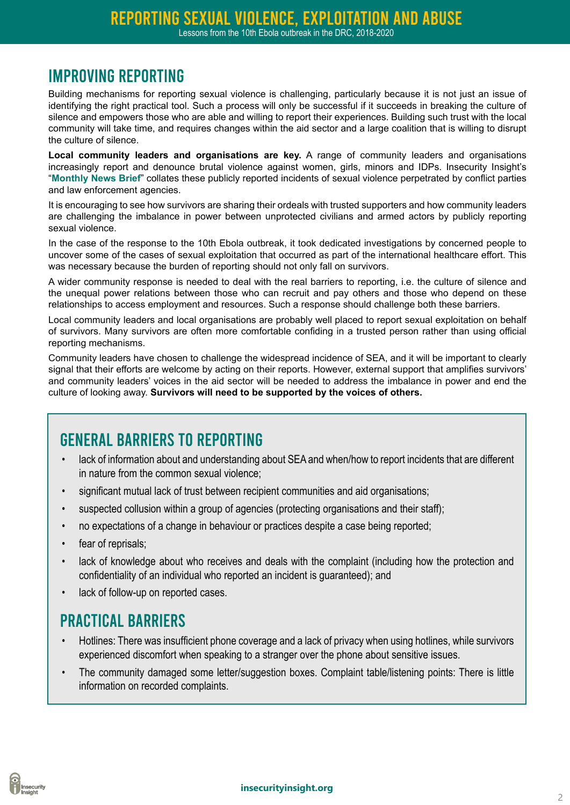## Improving reporting

Building mechanisms for reporting sexual violence is challenging, particularly because it is not just an issue of identifying the right practical tool. Such a process will only be successful if it succeeds in breaking the culture of silence and empowers those who are able and willing to report their experiences. Building such trust with the local community will take time, and requires changes within the aid sector and a large coalition that is willing to disrupt the culture of silence.

**Local community leaders and organisations are key.** A range of community leaders and organisations increasingly report and denounce brutal violence against women, girls, minors and IDPs. Insecurity Insight's "**[Monthly News Brief](http://insecurityinsight.org/projects/sexual-violence-and-abuse__trashed/reporting-sexual-violence-and-abuse-in-conflict-settings)**" collates these publicly reported incidents of sexual violence perpetrated by conflict parties and law enforcement agencies.

It is encouraging to see how survivors are sharing their ordeals with trusted supporters and how community leaders are challenging the imbalance in power between unprotected civilians and armed actors by publicly reporting sexual violence.

In the case of the response to the 10th Ebola outbreak, it took dedicated investigations by concerned people to uncover some of the cases of sexual exploitation that occurred as part of the international healthcare effort. This was necessary because the burden of reporting should not only fall on survivors.

A wider community response is needed to deal with the real barriers to reporting, i.e. the culture of silence and the unequal power relations between those who can recruit and pay others and those who depend on these relationships to access employment and resources. Such a response should challenge both these barriers.

Local community leaders and local organisations are probably well placed to report sexual exploitation on behalf of survivors. Many survivors are often more comfortable confiding in a trusted person rather than using official reporting mechanisms.

Community leaders have chosen to challenge the widespread incidence of SEA, and it will be important to clearly signal that their efforts are welcome by acting on their reports. However, external support that amplifies survivors' and community leaders' voices in the aid sector will be needed to address the imbalance in power and end the culture of looking away. **Survivors will need to be supported by the voices of others.** 

#### General barriers to reporting

- lack of information about and understanding about SEA and when/how to report incidents that are different in nature from the common sexual violence;
- significant mutual lack of trust between recipient communities and aid organisations;
- suspected collusion within a group of agencies (protecting organisations and their staff);
- no expectations of a change in behaviour or practices despite a case being reported;
- fear of reprisals;
- lack of knowledge about who receives and deals with the complaint (including how the protection and confidentiality of an individual who reported an incident is guaranteed); and
- lack of follow-up on reported cases.

#### Practical barriers

- Hotlines: There was insufficient phone coverage and a lack of privacy when using hotlines, while survivors experienced discomfort when speaking to a stranger over the phone about sensitive issues.
- The community damaged some letter/suggestion boxes. Complaint table/listening points: There is little information on recorded complaints.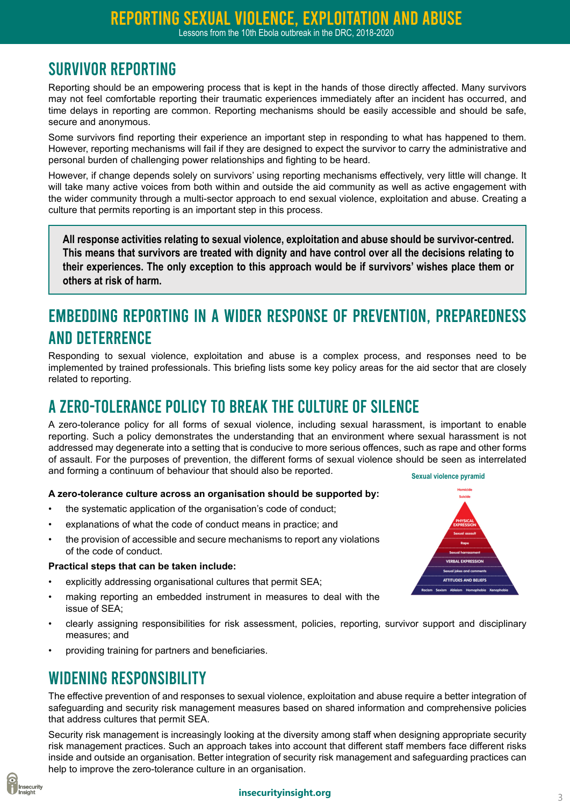# Survivor reporting

Reporting should be an empowering process that is kept in the hands of those directly affected. Many survivors may not feel comfortable reporting their traumatic experiences immediately after an incident has occurred, and time delays in reporting are common. Reporting mechanisms should be easily accessible and should be safe, secure and anonymous.

Some survivors find reporting their experience an important step in responding to what has happened to them. However, reporting mechanisms will fail if they are designed to expect the survivor to carry the administrative and personal burden of challenging power relationships and fighting to be heard.

However, if change depends solely on survivors' using reporting mechanisms effectively, very little will change. It will take many active voices from both within and outside the aid community as well as active engagement with the wider community through a multi-sector approach to end sexual violence, exploitation and abuse. Creating a culture that permits reporting is an important step in this process.

**All response activities relating to sexual violence, exploitation and abuse should be survivor-centred. This means that survivors are treated with dignity and have control over all the decisions relating to their experiences. The only exception to this approach would be if survivors' wishes place them or others at risk of harm.**

# Embedding reporting in a wider response of prevention, preparedness and deterrence

Responding to sexual violence, exploitation and abuse is a complex process, and responses need to be implemented by trained professionals. This briefing lists some key policy areas for the aid sector that are closely related to reporting.

# A zero-tolerance policy to break the culture of silence

A zero-tolerance policy for all forms of sexual violence, including sexual harassment, is important to enable reporting. Such a policy demonstrates the understanding that an environment where sexual harassment is not addressed may degenerate into a setting that is conducive to more serious offences, such as rape and other forms of assault. For the purposes of prevention, the different forms of sexual violence should be seen as interrelated and forming a continuum of behaviour that should also be reported. **Sexual violence pyramid**

#### **A zero-tolerance culture across an organisation should be supported by:**

- the systematic application of the organisation's code of conduct;
- explanations of what the code of conduct means in practice; and
- the provision of accessible and secure mechanisms to report any violations of the code of conduct.

#### **Practical steps that can be taken include:**

- explicitly addressing organisational cultures that permit SEA;
- making reporting an embedded instrument in measures to deal with the issue of SEA;
- clearly assigning responsibilities for risk assessment, policies, reporting, survivor support and disciplinary measures; and
- providing training for partners and beneficiaries.

## Widening responsibility

The effective prevention of and responses to sexual violence, exploitation and abuse require a better integration of safeguarding and security risk management measures based on shared information and comprehensive policies that address cultures that permit SEA.

Security risk management is increasingly looking at the diversity among staff when designing appropriate security risk management practices. Such an approach takes into account that different staff members face different risks inside and outside an organisation. Better integration of security risk management and safeguarding practices can [h](http://insecurityinsight.org/)elp to improve the zero-tolerance culture in an organisation.



#### **insecurityinsight.org**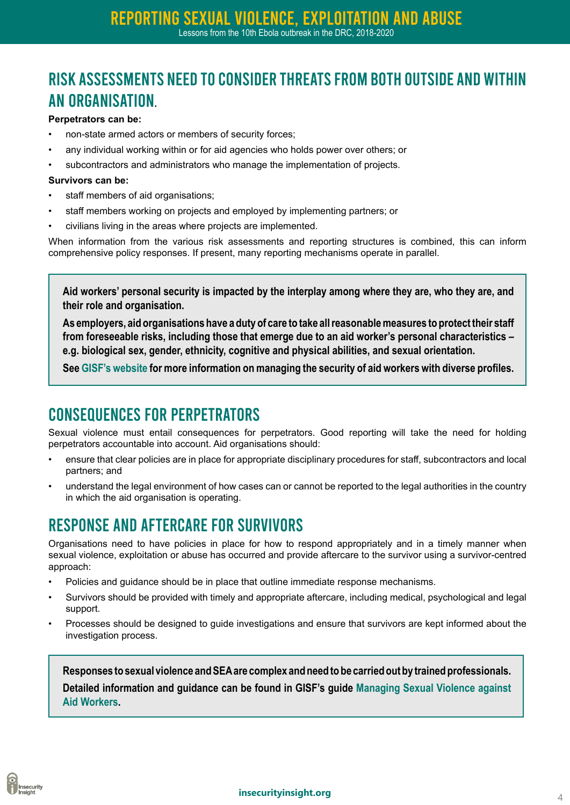Risk assessments need to consider threats from both outside and within an organisation**.** 

#### **Perpetrators can be:**

- non-state armed actors or members of security forces;
- any individual working within or for aid agencies who holds power over others; or
- subcontractors and administrators who manage the implementation of projects.

#### **Survivors can be:**

- staff members of aid organisations;
- staff members working on projects and employed by implementing partners; or
- civilians living in the areas where projects are implemented.

When information from the various risk assessments and reporting structures is combined, this can inform comprehensive policy responses. If present, many reporting mechanisms operate in parallel.

**Aid workers' personal security is impacted by the interplay among where they are, who they are, and their role and organisation.** 

**As employers, aid organisations have a duty of care to take all reasonable measures to protect their staff from foreseeable risks, including those that emerge due to an aid worker's personal characteristics – e.g. biological sex, gender, ethnicity, cognitive and physical abilities, and sexual orientation.** 

**See [GISF's website](https://gisf.ngo/resource/managing-the-security-of-aid-workers-with-diverse-profiles/) for more information on managing the security of aid workers with diverse profiles.**

#### Consequences for perpetrators

Sexual violence must entail consequences for perpetrators. Good reporting will take the need for holding perpetrators accountable into account. Aid organisations should:

- ensure that clear policies are in place for appropriate disciplinary procedures for staff, subcontractors and local partners; and
- understand the legal environment of how cases can or cannot be reported to the legal authorities in the country in which the aid organisation is operating.

## Response and aftercare for survivors

Organisations need to have policies in place for how to respond appropriately and in a timely manner when sexual violence, exploitation or abuse has occurred and provide aftercare to the survivor using a survivor-centred approach:

- Policies and guidance should be in place that outline immediate response mechanisms.
- Survivors should be provided with timely and appropriate aftercare, including medical, psychological and legal support.
- Processes should be designed to guide investigations and ensure that survivors are kept informed about the investigation process.

**Responses to sexual violence and SEA are complex and need to be carried out by trained professionals. Detailed information and guidance can be found in GISF's guide [Managing Sexual Violence against](https://gisf.ngo/wp-content/uploads/2019/03/Managing-Sexual-Violence-against-Aid-Workers.pdf)  [Aid Workers](https://gisf.ngo/wp-content/uploads/2019/03/Managing-Sexual-Violence-against-Aid-Workers.pdf).**

#### **insecurityinsight.org**